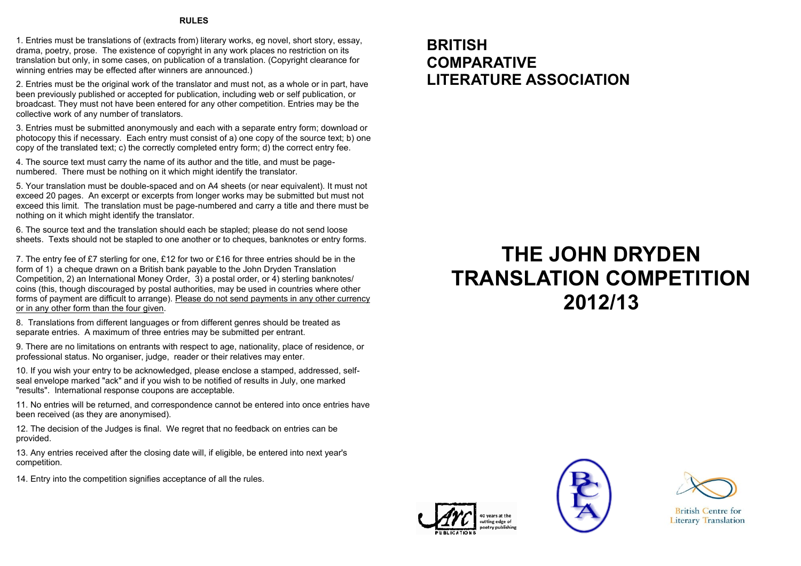#### **RULES**

1. Entries must be translations of (extracts from) literary works, eg novel, short story, essay, drama, poetry, prose. The existence of copyright in any work places no restriction on its translation but only, in some cases, on publication of a translation. (Copyright clearance for winning entries may be effected after winners are announced.)

2. Entries must be the original work of the translator and must not, as a whole or in part, have been previously published or accepted for publication, including web or self publication, or broadcast. They must not have been entered for any other competition. Entries may be the collective work of any number of translators.

3. Entries must be submitted anonymously and each with a separate entry form; download or photocopy this if necessary. Each entry must consist of a) one copy of the source text; b) one copy of the translated text; c) the correctly completed entry form; d) the correct entry fee.

4. The source text must carry the name of its author and the title, and must be pagenumbered. There must be nothing on it which might identify the translator.

5. Your translation must be double-spaced and on A4 sheets (or near equivalent). It must not exceed 20 pages. An excerpt or excerpts from longer works may be submitted but must not exceed this limit. The translation must be page-numbered and carry a title and there must be nothing on it which might identify the translator.

6. The source text and the translation should each be stapled; please do not send loose sheets. Texts should not be stapled to one another or to cheques, banknotes or entry forms.

7. The entry fee of £7 sterling for one, £12 for two or £16 for three entries should be in the form of 1) a cheque drawn on a British bank payable to the John Dryden Translation Competition, 2) an International Money Order, 3) a postal order, or 4) sterling banknotes/ coins (this, though discouraged by postal authorities, may be used in countries where other forms of payment are difficult to arrange). Please do not send payments in any other currency or in any other form than the four given.

8. Translations from different languages or from different genres should be treated as separate entries. A maximum of three entries may be submitted per entrant.

9. There are no limitations on entrants with respect to age, nationality, place of residence, or professional status. No organiser, judge, reader or their relatives may enter.

10. If you wish your entry to be acknowledged, please enclose a stamped, addressed, selfseal envelope marked "ack" and if you wish to be notified of results in July, one marked "results". International response coupons are acceptable.

11. No entries will be returned, and correspondence cannot be entered into once entries have been received (as they are anonymised).

12. The decision of the Judges is final. We regret that no feedback on entries can be provided.

13. Any entries received after the closing date will, if eligible, be entered into next year's competition.

14. Entry into the competition signifies acceptance of all the rules.

## **BRITISH COMPARATIVE LITERATURE ASSOCIATION**

# **THE JOHN DRYDEN TRANSLATION COMPETITION 2012/13**







**British Centre for Literary Translation**